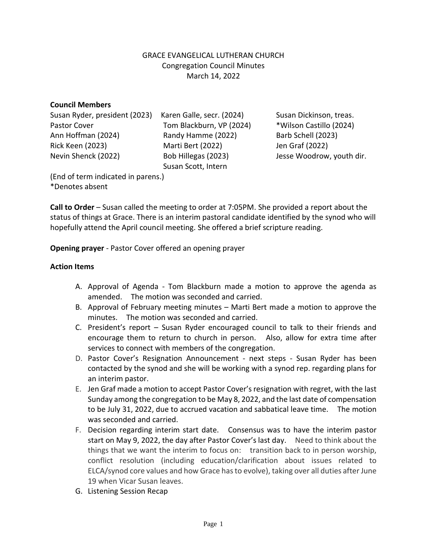### GRACE EVANGELICAL LUTHERAN CHURCH Congregation Council Minutes March 14, 2022

#### **Council Members**

Susan Ryder, president (2023) Karen Galle, secr. (2024) Susan Dickinson, treas. Pastor Cover Tom Blackburn, VP (2024) \* Wilson Castillo (2024) Ann Hoffman (2024) Randy Hamme (2022) Barb Schell (2023) Rick Keen (2023) Marti Bert (2022) Jen Graf (2022) Nevin Shenck (2022) Bob Hillegas (2023) Jesse Woodrow, youth dir.

Susan Scott, Intern

(End of term indicated in parens.) \*Denotes absent

**Call to Order** – Susan called the meeting to order at 7:05PM. She provided a report about the status of things at Grace. There is an interim pastoral candidate identified by the synod who will hopefully attend the April council meeting. She offered a brief scripture reading.

**Opening prayer** - Pastor Cover offered an opening prayer

### **Action Items**

- A. Approval of Agenda Tom Blackburn made a motion to approve the agenda as amended. The motion was seconded and carried.
- B. Approval of February meeting minutes Marti Bert made a motion to approve the minutes. The motion was seconded and carried.
- C. President's report Susan Ryder encouraged council to talk to their friends and encourage them to return to church in person. Also, allow for extra time after services to connect with members of the congregation.
- D. Pastor Cover's Resignation Announcement next steps Susan Ryder has been contacted by the synod and she will be working with a synod rep. regarding plans for an interim pastor.
- E. Jen Graf made a motion to accept Pastor Cover's resignation with regret, with the last Sunday among the congregation to be May 8, 2022, and the last date of compensation to be July 31, 2022, due to accrued vacation and sabbatical leave time. The motion was seconded and carried.
- F. Decision regarding interim start date. Consensus was to have the interim pastor start on May 9, 2022, the day after Pastor Cover's last day. Need to think about the things that we want the interim to focus on: transition back to in person worship, conflict resolution (including education/clarification about issues related to ELCA/synod core values and how Grace has to evolve), taking over all duties after June 19 when Vicar Susan leaves.
- G. Listening Session Recap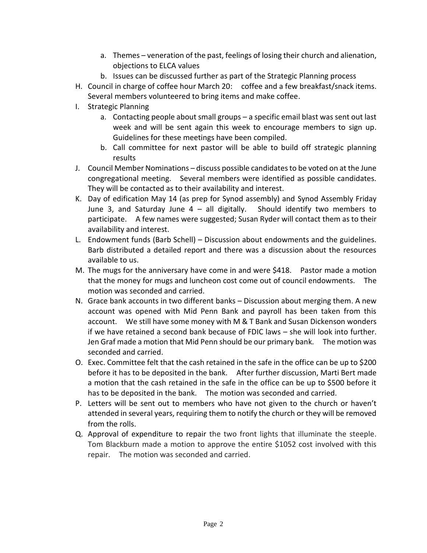- a. Themes veneration of the past, feelings of losing their church and alienation, objections to ELCA values
- b. Issues can be discussed further as part of the Strategic Planning process
- H. Council in charge of coffee hour March 20: coffee and a few breakfast/snack items. Several members volunteered to bring items and make coffee.
- I. Strategic Planning
	- a. Contacting people about small groups a specific email blast was sent out last week and will be sent again this week to encourage members to sign up. Guidelines for these meetings have been compiled.
	- b. Call committee for next pastor will be able to build off strategic planning results
- J. Council Member Nominations discuss possible candidates to be voted on at the June congregational meeting. Several members were identified as possible candidates. They will be contacted as to their availability and interest.
- K. Day of edification May 14 (as prep for Synod assembly) and Synod Assembly Friday June 3, and Saturday June  $4 -$  all digitally. Should identify two members to participate. A few names were suggested; Susan Ryder will contact them as to their availability and interest.
- L. Endowment funds (Barb Schell) Discussion about endowments and the guidelines. Barb distributed a detailed report and there was a discussion about the resources available to us.
- M. The mugs for the anniversary have come in and were \$418. Pastor made a motion that the money for mugs and luncheon cost come out of council endowments. The motion was seconded and carried.
- N. Grace bank accounts in two different banks Discussion about merging them. A new account was opened with Mid Penn Bank and payroll has been taken from this account. We still have some money with M & T Bank and Susan Dickenson wonders if we have retained a second bank because of FDIC laws – she will look into further. Jen Graf made a motion that Mid Penn should be our primary bank. The motion was seconded and carried.
- O. Exec. Committee felt that the cash retained in the safe in the office can be up to \$200 before it has to be deposited in the bank. After further discussion, Marti Bert made a motion that the cash retained in the safe in the office can be up to \$500 before it has to be deposited in the bank. The motion was seconded and carried.
- P. Letters will be sent out to members who have not given to the church or haven't attended in several years, requiring them to notify the church or they will be removed from the rolls.
- Q. Approval of expenditure to repair the two front lights that illuminate the steeple. Tom Blackburn made a motion to approve the entire \$1052 cost involved with this repair. The motion was seconded and carried.